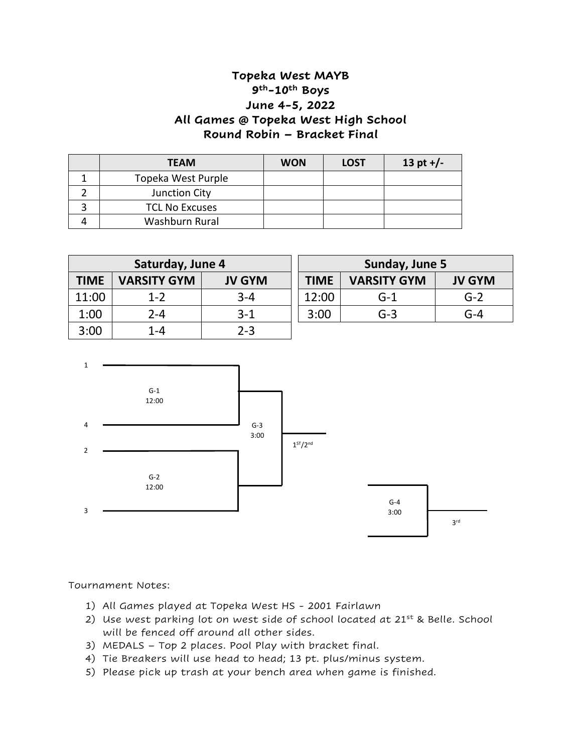## **Topeka West MAYB 9th-10th Boys June 4-5, 2022 All Games @ Topeka West High School Round Robin – Bracket Final**

| <b>TEAM</b>           | <b>WON</b> | <b>LOST</b> | 13 pt $+/-$ |
|-----------------------|------------|-------------|-------------|
| Topeka West Purple    |            |             |             |
| Junction City         |            |             |             |
| <b>TCL No Excuses</b> |            |             |             |
| Washburn Rural        |            |             |             |

| Saturday, June 4 |                    |               |  |  |
|------------------|--------------------|---------------|--|--|
| <b>TIME</b>      | <b>VARSITY GYM</b> | <b>JV GYM</b> |  |  |
| 11:00            | $1 - 2$            | $3 - 4$       |  |  |
| 1:00             | $2 - 4$            | $3-1$         |  |  |
| 3:00             | $1 - 4$            | $2 - 3$       |  |  |

| Sunday, June 5 |                    |               |  |  |
|----------------|--------------------|---------------|--|--|
| <b>TIME</b>    | <b>VARSITY GYM</b> | <b>JV GYM</b> |  |  |
| 12:00          | $G-1$              | $G-2$         |  |  |
| 3:00           | $G-3$              | $G - 4$       |  |  |



Tournament Notes:

- 1) All Games played at Topeka West HS 2001 Fairlawn
- 2) Use west parking lot on west side of school located at  $21^{st}$  & Belle. School will be fenced off around all other sides.
- 3) MEDALS Top 2 places. Pool Play with bracket final.
- 4) Tie Breakers will use head to head; 13 pt. plus/minus system.
- 5) Please pick up trash at your bench area when game is finished.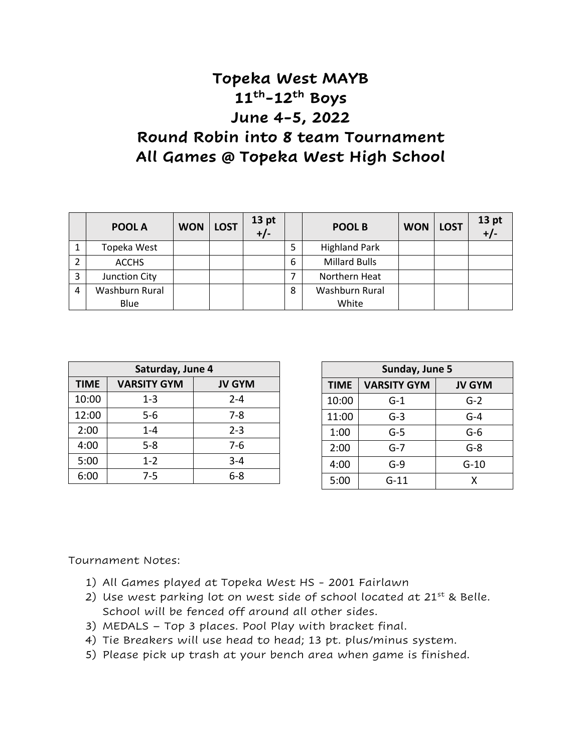## **Topeka West MAYB 11th-12th Boys June 4-5, 2022 Round Robin into 8 team Tournament All Games @ Topeka West High School**

|   | POOL A         | <b>WON</b> | <b>LOST</b> | 13 <sub>pt</sub><br>$+/-$ |   | POOL B               | <b>WON</b> | <b>LOST</b> | 13 <sub>pt</sub> |
|---|----------------|------------|-------------|---------------------------|---|----------------------|------------|-------------|------------------|
|   | Topeka West    |            |             |                           |   | <b>Highland Park</b> |            |             |                  |
|   | <b>ACCHS</b>   |            |             |                           | 6 | <b>Millard Bulls</b> |            |             |                  |
|   | Junction City  |            |             |                           |   | Northern Heat        |            |             |                  |
| 4 | Washburn Rural |            |             |                           | 8 | Washburn Rural       |            |             |                  |
|   | Blue           |            |             |                           |   | White                |            |             |                  |

| Saturday, June 4 |                    |               |  |  |  |
|------------------|--------------------|---------------|--|--|--|
| <b>TIME</b>      | <b>VARSITY GYM</b> | <b>JV GYM</b> |  |  |  |
| 10:00            | 1-3                | $2 - 4$       |  |  |  |
| 12:00            | $5 - 6$            | $7 - 8$       |  |  |  |
| 2:00             | $1 - 4$            | $2 - 3$       |  |  |  |
| 4:00             | $5 - 8$            | $7-6$         |  |  |  |
| 5:00             | $1 - 2$            | $3 - 4$       |  |  |  |
| 6:00             | 7-5                | $6 - 8$       |  |  |  |

| Sunday, June 5 |                    |               |  |  |  |
|----------------|--------------------|---------------|--|--|--|
| <b>TIME</b>    | <b>VARSITY GYM</b> | <b>JV GYM</b> |  |  |  |
| 10:00          | $G-1$              | $G-2$         |  |  |  |
| 11:00          | $G-3$              | G-4           |  |  |  |
| 1:00           | G-5                | $G-6$         |  |  |  |
| 2:00           | G-7                | G-8           |  |  |  |
| 4:00           | G-9                | $G-10$        |  |  |  |
| 5:00           | G-11               | x             |  |  |  |

Tournament Notes:

- 1) All Games played at Topeka West HS 2001 Fairlawn
- 2) Use west parking lot on west side of school located at  $21^{st}$  & Belle. School will be fenced off around all other sides.
- 3) MEDALS Top 3 places. Pool Play with bracket final.
- 4) Tie Breakers will use head to head; 13 pt. plus/minus system.
- 5) Please pick up trash at your bench area when game is finished.